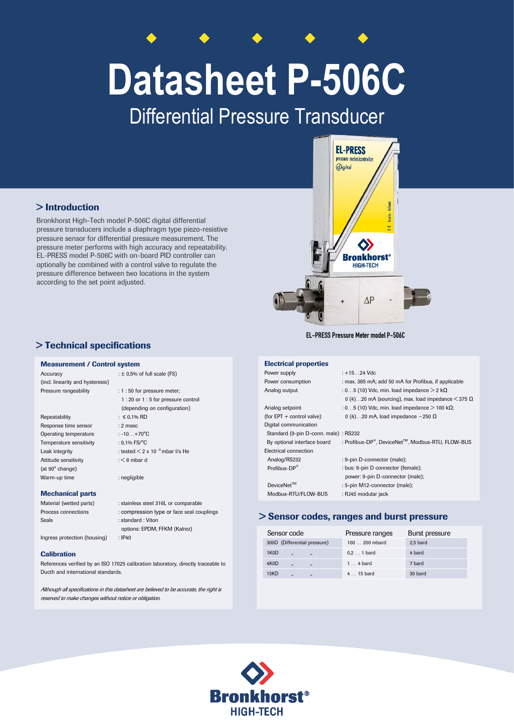# **Datasheet P-506C**

Differential Pressure Transducer

## > Introduction

Bronkhorst High-Tech model P-506C digital differential pressure transducers include a diaphragm type piezo-resistive pressure sensor for differential pressure measurement. The pressure meter performs with high accuracy and repeatability. EL-PRESS model P-506C with on-board PID controller can optionally be combined with a control valve to regulate the pressure difference between two locations in the system according to the set point adjusted.

## > Technical specifications

#### Measurement / Control system

| Accuracy                         | : $\pm$ 0,5% of full scale (FS)                  |
|----------------------------------|--------------------------------------------------|
| (incl. linearity and hysteresis) |                                                  |
| Pressure rangeability            | $: 1:50$ for pressure meter;                     |
|                                  | 1:20 or 1:5 for pressure control                 |
|                                  | (depending on configuration)                     |
| Repeatability                    | : ≤ 0,1% RD                                      |
| Response time sensor             | $: 2$ msec                                       |
| Operating temperature            | : $-10+70^{\circ}$ C                             |
| Temperature sensitivity          | : $0.1\%$ FS/ $^{\circ}$ C                       |
| Leak integrity                   | : tested $\leq$ 2 x 10 <sup>-9</sup> mbar I/s He |
| Attitude sensitivity             | $:$ $\leq$ 6 mbar d                              |
| (at 90° change)                  |                                                  |
| Warm-up time                     | : negligible                                     |
|                                  |                                                  |

#### Mechanical parts

| Material (wetted parts)      | : stainless steel 316L or comparable      |
|------------------------------|-------------------------------------------|
| Process connections          | : compression type or face seal couplings |
| Seals                        | : standard : Viton                        |
|                              | options: EPDM, FFKM (Kalrez)              |
| Ingress protection (housing) | $:$ IP40                                  |

#### **Calibration**

References verified by an ISO 17025 calibration laboratory, directly traceable to Ducth and international standards.

Although all specifications in this datasheet are believed to be accurate, the right is reserved to make changes without notice or obligation.



EL-PRESS Pressure Meter model P-506C

### Electrical properties

 $P_{\text{OW}}$ 

Digit

Elec

| Power supply                          | $: +1524$ Vdc                                                              |
|---------------------------------------|----------------------------------------------------------------------------|
| Power consumption                     | : max. 385 mA; add 50 mA for Profibus, if applicable                       |
| Analog output                         | : 05 (10) Vdc, min. load impedance $>$ 2 k $\Omega$                        |
|                                       | 0 (4)20 mA (sourcing), max. load impedance $\leq$ 375 $\Omega$             |
| Analog setpoint                       | : 05 (10) Vdc, min. load impedance $>$ 100 k $\Omega$ ;                    |
| (for $EPT$ + control valve)           | 0 (4)20 mA, load impedance ~250 $\Omega$                                   |
| Digital communication                 |                                                                            |
| Standard (9-pin D-conn. male) : RS232 |                                                                            |
| By optional interface board           | : Profibus-DP <sup>®</sup> , DeviceNet <sup>™</sup> , Modbus-RTU, FLOW-BUS |
| Electrical connection                 |                                                                            |
| Analog/RS232                          | : 9-pin D-connector (male);                                                |
| Profibus-DP®                          | : bus: 9-pin D connector (female);                                         |
|                                       | power: 9-pin D-connector (male);                                           |
| $DeviceNet^{TM}$                      | : 5-pin M12-connector (male);                                              |
| Modbus-RTU/FLOW-BUS                   | : RJ45 modular jack                                                        |
|                                       |                                                                            |

#### > Sensor codes, ranges and burst pressure

| Sensor code                                                       | Pressure ranges     | Burst pressure |
|-------------------------------------------------------------------|---------------------|----------------|
| 300D (Differential pressure)                                      | 100  200 mbard      | 2.5 bard       |
| 1K <sub>0</sub> D<br>$\ddot{\phantom{a}}$<br>$\ddot{\phantom{a}}$ | $0.2 \ldots 1$ bard | 4 bard         |
| 4K <sub>0</sub> D<br>$\ddot{\phantom{a}}$<br>,                    | $1 \ldots 4$ bard   | 7 bard         |
| 15KD<br>$\ddot{\phantom{a}}$<br>$\overline{\mathbf{z}}$           | $415$ bard          | 30 bard        |

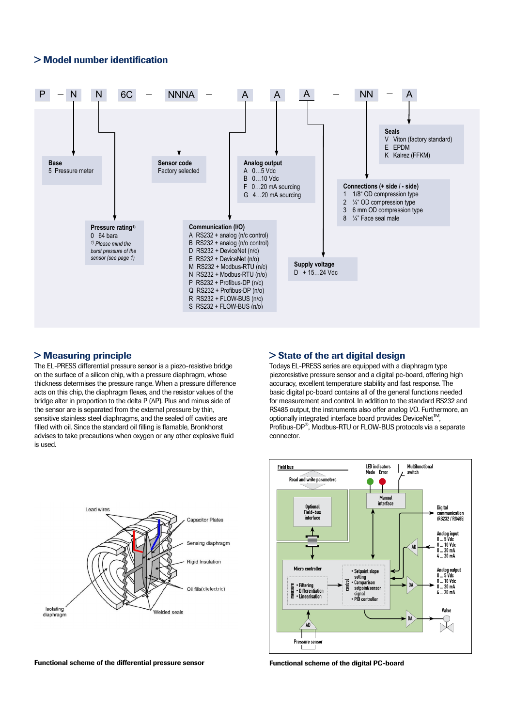### > Model number identification



#### > Measuring principle

Lead wires

Isolating

diaphragm

The EL-PRESS differential pressure sensor is a piezo-resistive bridge on the surface of a silicon chip, with a pressure diaphragm, whose thickness determises the pressure range. When a pressure difference acts on this chip, the diaphragm flexes, and the resistor values of the bridge alter in proportion to the delta P (ΔP). Plus and minus side of the sensor are is separated from the external pressure by thin, sensitive stainless steel diaphragms, and the sealed off cavities are filled with oil. Since the standard oil filling is flamable, Bronkhorst advises to take precautions when oxygen or any other explosive fluid is used.

**Capacitor Plates** 

Sensing diaphragm

Rigid Insulation

Oil fills(dielectric)

Welded seals



Todays EL-PRESS series are equipped with a diaphragm type piezoresistive pressure sensor and a digital pc-board, offering high accuracy, excellent temperature stability and fast response. The basic digital pc-board contains all of the general functions needed for measurement and control. In addition to the standard RS232 and RS485 output, the instruments also offer analog I/O. Furthermore, an optionally integrated interface board provides DeviceNet<sup>™</sup>, Profibus-DP®, Modbus-RTU or FLOW-BUS protocols via a separate connector.



![](_page_1_Figure_7.jpeg)

![](_page_1_Figure_8.jpeg)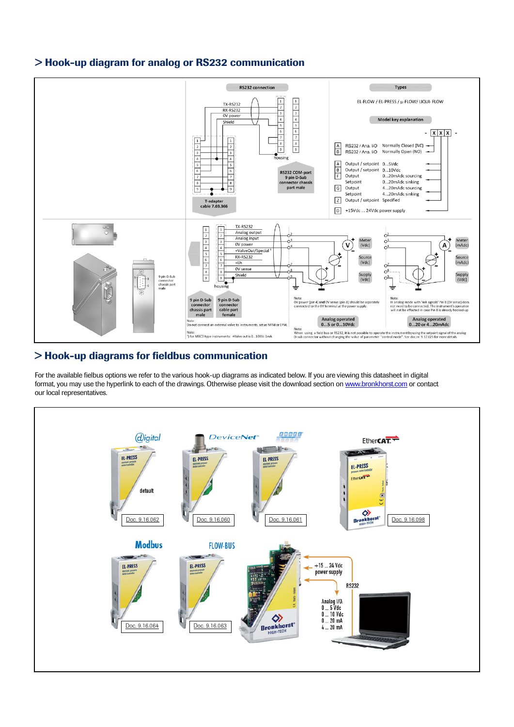![](_page_2_Figure_0.jpeg)

## > Hook-up diagram for analog or RS232 communication

## > Hook-up diagrams for fieldbus communication

For the available fielbus options we refer to the various hook-up diagrams as indicated below. If you are viewing this datasheet in digital format, you may use the hyperlink to each of the drawings. Otherwise please visit the download section o[n www.bronkhorst.com](http://www.bronkhorst.com/en/downloads/instruction_manuals/) or contact our local representatives.

![](_page_2_Figure_4.jpeg)